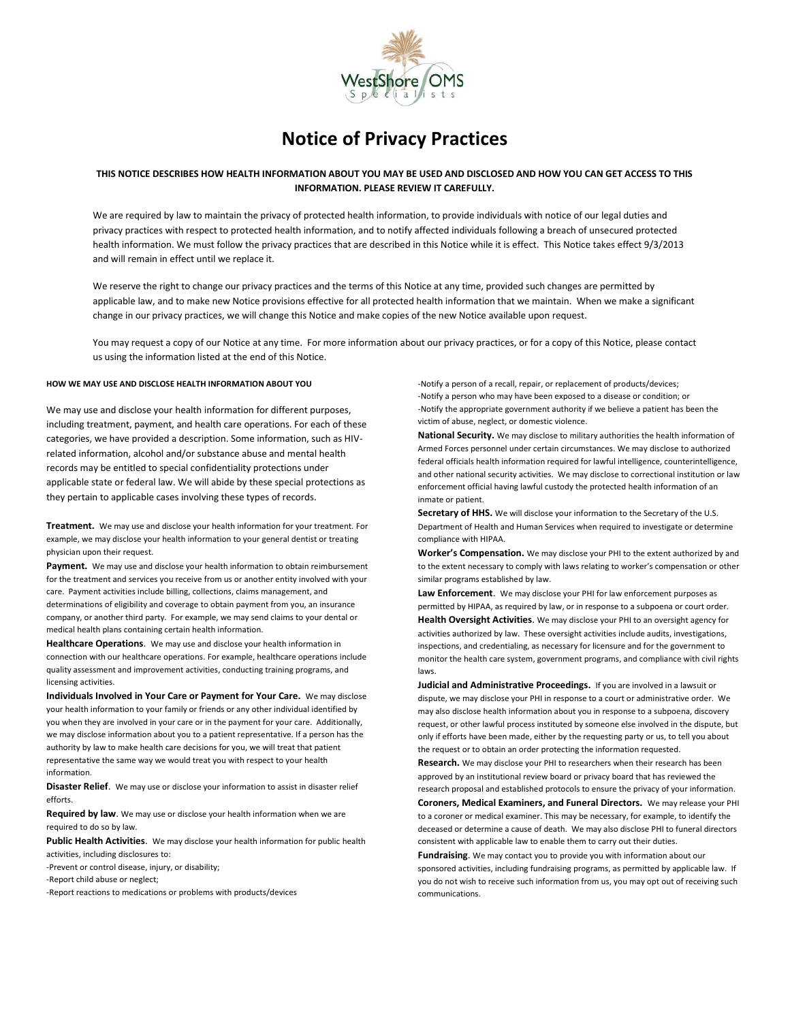

# **Notice of Privacy Practices**

## **THIS NOTICE DESCRIBES HOW HEALTH INFORMATION ABOUT YOU MAY BE USED AND DISCLOSED AND HOW YOU CAN GET ACCESS TO THIS INFORMATION. PLEASE REVIEW IT CAREFULLY.**

We are required by law to maintain the privacy of protected health information, to provide individuals with notice of our legal duties and privacy practices with respect to protected health information, and to notify affected individuals following a breach of unsecured protected health information. We must follow the privacy practices that are described in this Notice while it is effect. This Notice takes effect 9/3/2013 and will remain in effect until we replace it.

We reserve the right to change our privacy practices and the terms of this Notice at any time, provided such changes are permitted by applicable law, and to make new Notice provisions effective for all protected health information that we maintain. When we make a significant change in our privacy practices, we will change this Notice and make copies of the new Notice available upon request.

You may request a copy of our Notice at any time. For more information about our privacy practices, or for a copy of this Notice, please contact us using the information listed at the end of this Notice.

## **HOW WE MAY USE AND DISCLOSE HEALTH INFORMATION ABOUT YOU**

We may use and disclose your health information for different purposes, including treatment, payment, and health care operations. For each of these categories, we have provided a description. Some information, such as HIVrelated information, alcohol and/or substance abuse and mental health records may be entitled to special confidentiality protections under applicable state or federal law. We will abide by these special protections as they pertain to applicable cases involving these types of records.

**Treatment.** We may use and disclose your health information for your treatment. For example, we may disclose your health information to your general dentist or treating physician upon their request.

**Payment.** We may use and disclose your health information to obtain reimbursement for the treatment and services you receive from us or another entity involved with your care. Payment activities include billing, collections, claims management, and determinations of eligibility and coverage to obtain payment from you, an insurance company, or another third party. For example, we may send claims to your dental or medical health plans containing certain health information.

**Healthcare Operations**. We may use and disclose your health information in connection with our healthcare operations. For example, healthcare operations include quality assessment and improvement activities, conducting training programs, and licensing activities.

**Individuals Involved in Your Care or Payment for Your Care.** We may disclose your health information to your family or friends or any other individual identified by you when they are involved in your care or in the payment for your care. Additionally, we may disclose information about you to a patient representative. If a person has the authority by law to make health care decisions for you, we will treat that patient representative the same way we would treat you with respect to your health information.

**Disaster Relief**. We may use or disclose your information to assist in disaster relief efforts.

**Required by law**. We may use or disclose your health information when we are required to do so by law.

**Public Health Activities**. We may disclose your health information for public health activities, including disclosures to:

-Prevent or control disease, injury, or disability;

-Report child abuse or neglect;

-Report reactions to medications or problems with products/devices

-Notify a person of a recall, repair, or replacement of products/devices; -Notify a person who may have been exposed to a disease or condition; or -Notify the appropriate government authority if we believe a patient has been the victim of abuse, neglect, or domestic violence.

**National Security.** We may disclose to military authorities the health information of Armed Forces personnel under certain circumstances. We may disclose to authorized federal officials health information required for lawful intelligence, counterintelligence, and other national security activities. We may disclose to correctional institution or law enforcement official having lawful custody the protected health information of an inmate or patient.

**Secretary of HHS.** We will disclose your information to the Secretary of the U.S. Department of Health and Human Services when required to investigate or determine compliance with HIPAA.

**Worker's Compensation.** We may disclose your PHI to the extent authorized by and to the extent necessary to comply with laws relating to worker's compensation or other similar programs established by law.

**Law Enforcement**. We may disclose your PHI for law enforcement purposes as permitted by HIPAA, as required by law, or in response to a subpoena or court order.

**Health Oversight Activities**. We may disclose your PHI to an oversight agency for activities authorized by law. These oversight activities include audits, investigations, inspections, and credentialing, as necessary for licensure and for the government to monitor the health care system, government programs, and compliance with civil rights laws.

**Judicial and Administrative Proceedings.** If you are involved in a lawsuit or dispute, we may disclose your PHI in response to a court or administrative order. We may also disclose health information about you in response to a subpoena, discovery request, or other lawful process instituted by someone else involved in the dispute, but only if efforts have been made, either by the requesting party or us, to tell you about the request or to obtain an order protecting the information requested.

**Research.** We may disclose your PHI to researchers when their research has been approved by an institutional review board or privacy board that has reviewed the research proposal and established protocols to ensure the privacy of your information.

**Coroners, Medical Examiners, and Funeral Directors.** We may release your PHI to a coroner or medical examiner. This may be necessary, for example, to identify the deceased or determine a cause of death. We may also disclose PHI to funeral directors consistent with applicable law to enable them to carry out their duties.

**Fundraising**. We may contact you to provide you with information about our sponsored activities, including fundraising programs, as permitted by applicable law. If you do not wish to receive such information from us, you may opt out of receiving such communications.